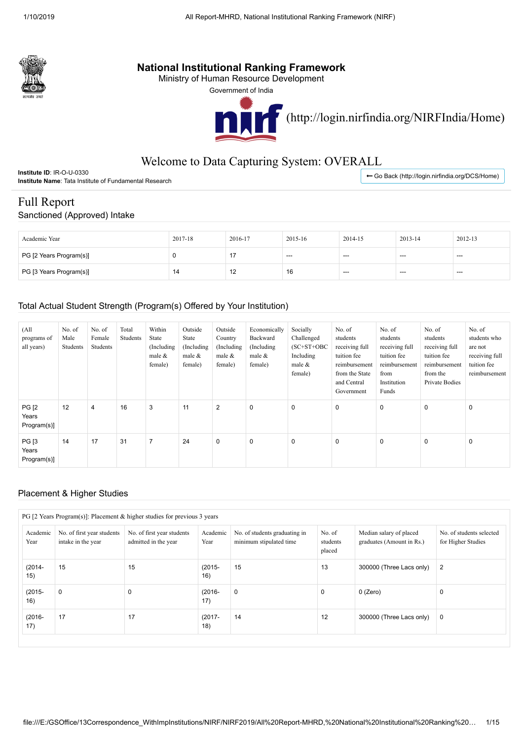

## **National Institutional Ranking Framework**

Ministry of Human Resource Development

Government of India



[\(http://login.nirfindia.org/NIRFIndia/Home\)](http://login.nirfindia.org/NIRFIndia/Home)

# Welcome to Data Capturing System: OVERALL

| U-0330<br>Linstitute ID: IR-∪                                      | r (http://loɑin.nirfindia.orɑ/DCS/Home)<br>васк |
|--------------------------------------------------------------------|-------------------------------------------------|
| <b>Institute Name∶</b><br>≅ Tata Institute of Fundamental Research |                                                 |
|                                                                    |                                                 |

### Full Report

Sanctioned (Approved) Intake

| Academic Year           | 2017-18 | 2016-17             | 2015-16 | 2014-15 | 2013-14 | 2012-13 |
|-------------------------|---------|---------------------|---------|---------|---------|---------|
| PG [2 Years Program(s)] |         |                     | ---     | ---     | $---$   | $---$   |
| PG [3 Years Program(s)] | 14      | $\overline{ }$<br>╶ | 16      | ---     | $---$   | $---$   |

### Total Actual Student Strength (Program(s) Offered by Your Institution)

| (A <sup>ll</sup> )<br>programs of<br>all years) | No. of<br>Male<br>Students | No. of<br>Female<br>Students | Total<br>Students | Within<br>State<br>(Including)<br>male $&$<br>female) | Outside<br>State<br>(Including)<br>male $&$<br>female) | Outside<br>Country<br>(Including)<br>male $\&$<br>female) | Economically<br>Backward<br>(Including)<br>male &<br>female) | Socially<br>Challenged<br>$(SC+ST+OBC)$<br>Including<br>male $&$<br>female) | No. of<br>students<br>receiving full<br>tuition fee<br>reimbursement<br>from the State<br>and Central<br>Government | No. of<br>students<br>receiving full<br>tuition fee<br>reimbursement<br>from<br>Institution<br>Funds | No. of<br>students<br>receiving full<br>tuition fee<br>reimbursement<br>from the<br>Private Bodies | No. of<br>students who<br>are not<br>receiving full<br>tuition fee<br>reimbursement |
|-------------------------------------------------|----------------------------|------------------------------|-------------------|-------------------------------------------------------|--------------------------------------------------------|-----------------------------------------------------------|--------------------------------------------------------------|-----------------------------------------------------------------------------|---------------------------------------------------------------------------------------------------------------------|------------------------------------------------------------------------------------------------------|----------------------------------------------------------------------------------------------------|-------------------------------------------------------------------------------------|
| <b>PG [2</b><br>Years<br>Program(s)]            | 12                         | $\overline{4}$               | 16                | 3                                                     | 11                                                     | 2                                                         | $\pmb{0}$                                                    | $\mathbf 0$                                                                 | $\mathbf 0$                                                                                                         | $\mathbf 0$                                                                                          | 0                                                                                                  | $\mathbf 0$                                                                         |
| <b>PG</b> [3<br>Years<br>Program(s)]            | 14                         | 17                           | 31                | $\overline{7}$                                        | 24                                                     | $\mathbf 0$                                               | 0                                                            | $\mathbf 0$                                                                 | $\mathbf 0$                                                                                                         | $\mathbf 0$                                                                                          | 0                                                                                                  | $\mathbf 0$                                                                         |

#### Placement & Higher Studies

| Academic<br>Year | No. of first year students<br>intake in the year | No. of first year students<br>admitted in the year | Academic<br>Year | No. of students graduating in<br>minimum stipulated time | No. of<br>students<br>placed | Median salary of placed<br>graduates (Amount in Rs.) | No. of students selected<br>for Higher Studies |
|------------------|--------------------------------------------------|----------------------------------------------------|------------------|----------------------------------------------------------|------------------------------|------------------------------------------------------|------------------------------------------------|
| $(2014 -$<br>15) | 15                                               | 15                                                 | $(2015 -$<br>16) | 15                                                       | 13                           | 300000 (Three Lacs only)                             | 2                                              |
| $(2015 -$<br>16) | $\mathbf 0$                                      | $\Omega$                                           | $(2016 -$<br>17) | $\mathbf 0$                                              | $\mathbf 0$                  | 0 (Zero)                                             | $\mathbf 0$                                    |
| $(2016 -$<br>17) | 17                                               | 17                                                 | $(2017 -$<br>18) | 14                                                       | 12                           | 300000 (Three Lacs only)                             | $\mathbf 0$                                    |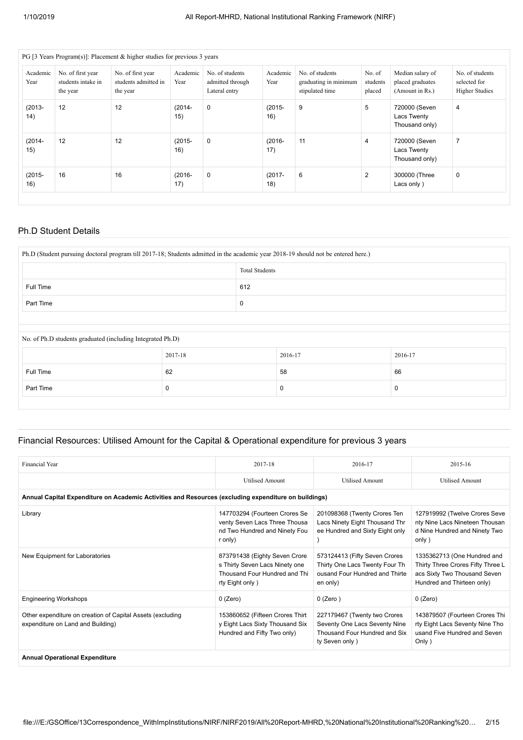|                   |                                                     | PG [3 Years Program(s)]: Placement & higher studies for previous 3 years |                  |                                                      |                  |                                                             |                              |                                                         |                                                          |
|-------------------|-----------------------------------------------------|--------------------------------------------------------------------------|------------------|------------------------------------------------------|------------------|-------------------------------------------------------------|------------------------------|---------------------------------------------------------|----------------------------------------------------------|
| Academic<br>Year  | No. of first year<br>students intake in<br>the year | No. of first year<br>students admitted in<br>the year                    | Academic<br>Year | No. of students<br>admitted through<br>Lateral entry | Academic<br>Year | No. of students<br>graduating in minimum<br>stipulated time | No. of<br>students<br>placed | Median salary of<br>placed graduates<br>(Amount in Rs.) | No. of students<br>selected for<br><b>Higher Studies</b> |
| $(2013 -$<br>(14) | 12                                                  | 12                                                                       | $(2014 -$<br>15) | $\mathbf 0$                                          | $(2015 -$<br>16) | 9                                                           | 5                            | 720000 (Seven<br>Lacs Twenty<br>Thousand only)          | 4                                                        |
| $(2014 -$<br>15)  | 12                                                  | 12                                                                       | $(2015 -$<br>16) | $\mathbf 0$                                          | $(2016 -$<br>17) | 11                                                          | $\overline{4}$               | 720000 (Seven<br>Lacs Twenty<br>Thousand only)          | 7                                                        |
| $(2015 -$<br>16)  | 16                                                  | 16                                                                       | $(2016 -$<br>17) | $\mathbf 0$                                          | $(2017 -$<br>18) | 6                                                           | 2                            | 300000 (Three<br>Lacs only)                             | $\mathbf 0$                                              |

#### Ph.D Student Details

| Ph.D (Student pursuing doctoral program till 2017-18; Students admitted in the academic year 2018-19 should not be entered here.) |                       |     |         |         |  |  |  |
|-----------------------------------------------------------------------------------------------------------------------------------|-----------------------|-----|---------|---------|--|--|--|
|                                                                                                                                   | <b>Total Students</b> |     |         |         |  |  |  |
| Full Time                                                                                                                         |                       | 612 |         |         |  |  |  |
| Part Time                                                                                                                         |                       |     |         |         |  |  |  |
|                                                                                                                                   |                       |     |         |         |  |  |  |
| No. of Ph.D students graduated (including Integrated Ph.D)                                                                        |                       |     |         |         |  |  |  |
|                                                                                                                                   | 2017-18               |     | 2016-17 | 2016-17 |  |  |  |
| Full Time                                                                                                                         | 62                    |     | 58      | 66      |  |  |  |
| Part Time                                                                                                                         | 0                     |     | 0       | 0       |  |  |  |
|                                                                                                                                   |                       |     |         |         |  |  |  |

#### Financial Resources: Utilised Amount for the Capital & Operational expenditure for previous 3 years

| Financial Year                                                                                       | 2017-18                                                                                                             | 2016-17                                                                                                          | 2015-16                                                                                                                        |
|------------------------------------------------------------------------------------------------------|---------------------------------------------------------------------------------------------------------------------|------------------------------------------------------------------------------------------------------------------|--------------------------------------------------------------------------------------------------------------------------------|
|                                                                                                      | <b>Utilised Amount</b>                                                                                              | <b>Utilised Amount</b>                                                                                           | <b>Utilised Amount</b>                                                                                                         |
| Annual Capital Expenditure on Academic Activities and Resources (excluding expenditure on buildings) |                                                                                                                     |                                                                                                                  |                                                                                                                                |
| Library                                                                                              | 147703294 (Fourteen Crores Se<br>venty Seven Lacs Three Thousa<br>nd Two Hundred and Ninety Fou<br>r only)          | 201098368 (Twenty Crores Ten<br>Lacs Ninety Eight Thousand Thr<br>ee Hundred and Sixty Eight only                | 127919992 (Twelve Crores Seve<br>nty Nine Lacs Nineteen Thousan<br>d Nine Hundred and Ninety Two<br>only)                      |
| New Equipment for Laboratories                                                                       | 873791438 (Eighty Seven Crore<br>s Thirty Seven Lacs Ninety one<br>Thousand Four Hundred and Thi<br>rty Eight only) | 573124413 (Fifty Seven Crores<br>Thirty One Lacs Twenty Four Th<br>ousand Four Hundred and Thirte<br>en only)    | 1335362713 (One Hundred and<br>Thirty Three Crores Fifty Three L<br>acs Sixty Two Thousand Seven<br>Hundred and Thirteen only) |
| <b>Engineering Workshops</b>                                                                         | $0$ (Zero)                                                                                                          | $0$ (Zero)                                                                                                       | 0 (Zero)                                                                                                                       |
| Other expenditure on creation of Capital Assets (excluding<br>expenditure on Land and Building)      | 153860652 (Fifteen Crores Thirt<br>y Eight Lacs Sixty Thousand Six<br>Hundred and Fifty Two only)                   | 227179467 (Twenty two Crores<br>Seventy One Lacs Seventy Nine<br>Thousand Four Hundred and Six<br>ty Seven only) | 143879507 (Fourteen Crores Thi<br>rty Eight Lacs Seventy Nine Tho<br>usand Five Hundred and Seven<br>Only)                     |
| Annual Onesettenel Evannelituse                                                                      |                                                                                                                     |                                                                                                                  |                                                                                                                                |

**Annual Operational Expenditure**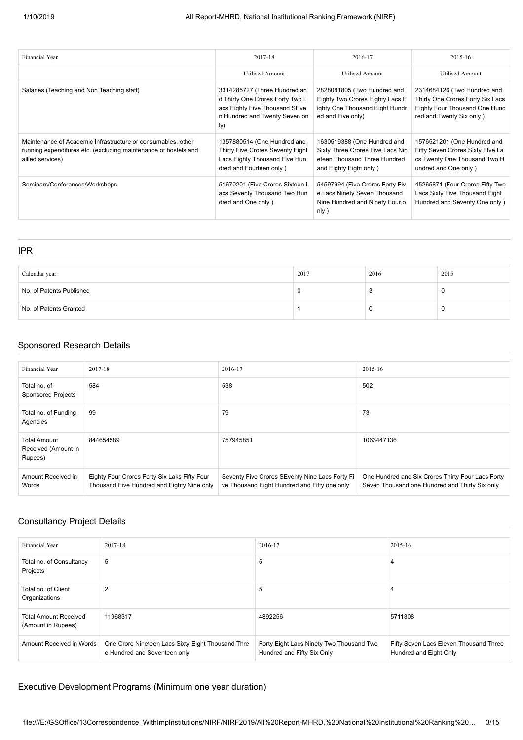| <b>Financial Year</b>                                                                                                                               | 2017-18                                                                                                                                  | 2016-17                                                                                                                   | 2015-16                                                                                                                      |
|-----------------------------------------------------------------------------------------------------------------------------------------------------|------------------------------------------------------------------------------------------------------------------------------------------|---------------------------------------------------------------------------------------------------------------------------|------------------------------------------------------------------------------------------------------------------------------|
|                                                                                                                                                     | Utilised Amount                                                                                                                          | Utilised Amount                                                                                                           | Utilised Amount                                                                                                              |
| Salaries (Teaching and Non Teaching staff)                                                                                                          | 3314285727 (Three Hundred an<br>d Thirty One Crores Forty Two L<br>acs Eighty Five Thousand SEve<br>n Hundred and Twenty Seven on<br>ly) | 2828081805 (Two Hundred and<br>Eighty Two Crores Eighty Lacs E<br>ighty One Thousand Eight Hundr<br>ed and Five only)     | 2314684126 (Two Hundred and<br>Thirty One Crores Forty Six Lacs<br>Eighty Four Thousand One Hund<br>red and Twenty Six only) |
| Maintenance of Academic Infrastructure or consumables, other<br>running expenditures etc. (excluding maintenance of hostels and<br>allied services) | 1357880514 (One Hundred and<br>Thirty Five Crores Seventy Eight<br>Lacs Eighty Thousand Five Hun<br>dred and Fourteen only)              | 1630519388 (One Hundred and<br>Sixty Three Crores Five Lacs Nin<br>eteen Thousand Three Hundred<br>and Eighty Eight only) | 1576521201 (One Hundred and<br>Fifty Seven Crores Sixty Flve La<br>cs Twenty One Thousand Two H<br>undred and One only)      |
| Seminars/Conferences/Workshops                                                                                                                      | 51670201 (Five Crores Sixteen L<br>acs Seventy Thousand Two Hun<br>dred and One only)                                                    | 54597994 (Five Crores Forty Fiv<br>e Lacs Ninety Seven Thousand<br>Nine Hundred and Ninety Four o<br>n(y)                 | 45265871 (Four Crores Fifty Two<br>Lacs Sixty Five Thousand Eight<br>Hundred and Seventy One only)                           |

| <b>IPR</b>               |      |      |          |
|--------------------------|------|------|----------|
|                          |      |      |          |
| Calendar year            | 2017 | 2016 | 2015     |
| No. of Patents Published |      |      | <b>U</b> |
| No. of Patents Granted   |      | U    | u        |

#### Sponsored Research Details

| Financial Year                                        | 2017-18                                                                                    | 2016-17                                                                                        | 2015-16                                                                                             |
|-------------------------------------------------------|--------------------------------------------------------------------------------------------|------------------------------------------------------------------------------------------------|-----------------------------------------------------------------------------------------------------|
| Total no. of<br><b>Sponsored Projects</b>             | 584                                                                                        | 538                                                                                            | 502                                                                                                 |
| Total no. of Funding<br>Agencies                      | 99                                                                                         | 79                                                                                             | 73                                                                                                  |
| <b>Total Amount</b><br>Received (Amount in<br>Rupees) | 844654589                                                                                  | 757945851                                                                                      | 1063447136                                                                                          |
| Amount Received in<br>Words                           | Eighty Four Crores Forty Six Laks Fifty Four<br>Thousand Five Hundred and Eighty Nine only | Seventy Five Crores SEventy Nine Lacs Forty Fi<br>ve Thousand Eight Hundred and Fifty one only | One Hundred and Six Crores Thirty Four Lacs Forty<br>Seven Thousand one Hundred and Thirty Six only |

### Consultancy Project Details

| <b>Financial Year</b>                              | 2017-18                                                                           | 2016-17                                                                | 2015-16                                                          |
|----------------------------------------------------|-----------------------------------------------------------------------------------|------------------------------------------------------------------------|------------------------------------------------------------------|
| Total no. of Consultancy<br>Projects               | 5                                                                                 | 5                                                                      | 4                                                                |
| Total no. of Client<br>Organizations               | $\overline{2}$                                                                    | 5                                                                      | 4                                                                |
| <b>Total Amount Received</b><br>(Amount in Rupees) | 11968317                                                                          | 4892256                                                                | 5711308                                                          |
| Amount Received in Words                           | One Crore Nineteen Lacs Sixty Eight Thousand Thre<br>e Hundred and Seventeen only | Forty Eight Lacs Ninety Two Thousand Two<br>Hundred and Fifty Six Only | Fifty Seven Lacs Eleven Thousand Three<br>Hundred and Eight Only |

#### Executive Development Programs (Minimum one year duration)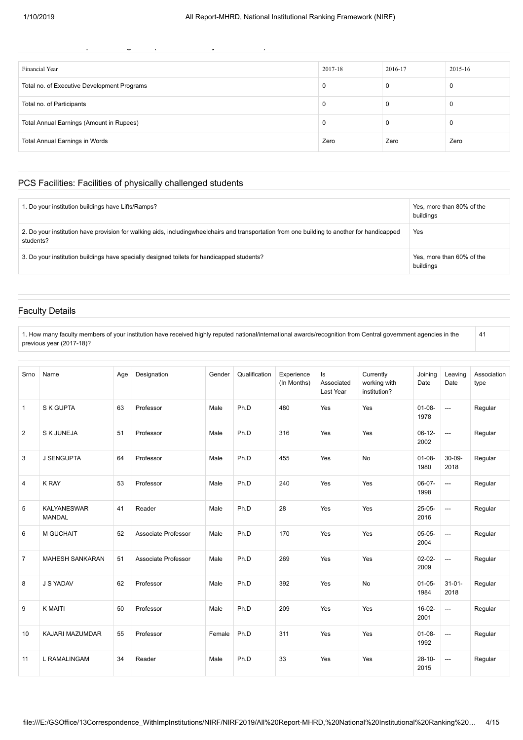| $\tilde{\phantom{a}}$<br>$\overline{ }$<br>٠ |         |         |         |
|----------------------------------------------|---------|---------|---------|
|                                              |         |         |         |
| Financial Year                               | 2017-18 | 2016-17 | 2015-16 |
| Total no. of Executive Development Programs  | 0       |         | U       |
| Total no. of Participants                    | 0       |         | u       |
| Total Annual Earnings (Amount in Rupees)     | 0       |         | υ       |
| Total Annual Earnings in Words               | Zero    | Zero    | Zero    |

#### PCS Facilities: Facilities of physically challenged students

| 1. Do your institution buildings have Lifts/Ramps?                                                                                                        | Yes, more than 80% of the<br>buildings |
|-----------------------------------------------------------------------------------------------------------------------------------------------------------|----------------------------------------|
| 2. Do your institution have provision for walking aids, includingwheelchairs and transportation from one building to another for handicapped<br>students? | Yes                                    |
| 3. Do your institution buildings have specially designed toilets for handicapped students?                                                                | Yes, more than 60% of the<br>buildings |

#### Faculty Details

1. How many faculty members of your institution have received highly reputed national/international awards/recognition from Central government agencies in the previous year (2017-18)? 41

| Srno           | Name                                | Age | Designation         | Gender | Qualification | Experience<br>(In Months) | ls<br>Associated<br>Last Year | Currently<br>working with<br>institution? | Joining<br>Date     | Leaving<br>Date          | Association<br>type |
|----------------|-------------------------------------|-----|---------------------|--------|---------------|---------------------------|-------------------------------|-------------------------------------------|---------------------|--------------------------|---------------------|
| $\mathbf{1}$   | S K GUPTA                           | 63  | Professor           | Male   | Ph.D          | 480                       | Yes                           | Yes                                       | $01 - 08 -$<br>1978 | $\overline{a}$           | Regular             |
| 2              | <b>SKJUNEJA</b>                     | 51  | Professor           | Male   | Ph.D          | 316                       | Yes                           | Yes                                       | $06-12-$<br>2002    | $\overline{\phantom{a}}$ | Regular             |
| 3              | <b>J SENGUPTA</b>                   | 64  | Professor           | Male   | Ph.D          | 455                       | Yes                           | <b>No</b>                                 | $01 - 08 -$<br>1980 | $30 - 09 -$<br>2018      | Regular             |
| 4              | <b>K RAY</b>                        | 53  | Professor           | Male   | Ph.D          | 240                       | Yes                           | Yes                                       | $06-07-$<br>1998    | ---                      | Regular             |
| 5              | <b>KALYANESWAR</b><br><b>MANDAL</b> | 41  | Reader              | Male   | Ph.D          | 28                        | Yes                           | Yes                                       | $25-05-$<br>2016    | $\overline{\phantom{a}}$ | Regular             |
| 6              | M GUCHAIT                           | 52  | Associate Professor | Male   | Ph.D          | 170                       | Yes                           | Yes                                       | $05-05-$<br>2004    | $\overline{\phantom{a}}$ | Regular             |
| $\overline{7}$ | <b>MAHESH SANKARAN</b>              | 51  | Associate Professor | Male   | Ph.D          | 269                       | Yes                           | Yes                                       | $02 - 02 -$<br>2009 | $\overline{a}$           | Regular             |
| 8              | J S YADAV                           | 62  | Professor           | Male   | Ph.D          | 392                       | Yes                           | <b>No</b>                                 | $01-05-$<br>1984    | $31 - 01 -$<br>2018      | Regular             |
| 9              | <b>K MAITI</b>                      | 50  | Professor           | Male   | Ph.D          | 209                       | Yes                           | Yes                                       | $16-02-$<br>2001    | ---                      | Regular             |
| 10             | KAJARI MAZUMDAR                     | 55  | Professor           | Female | Ph.D          | 311                       | Yes                           | Yes                                       | $01-08-$<br>1992    | $\overline{\phantom{a}}$ | Regular             |
| 11             | L RAMALINGAM                        | 34  | Reader              | Male   | Ph.D          | 33                        | Yes                           | Yes                                       | $28 - 10 -$<br>2015 | $---$                    | Regular             |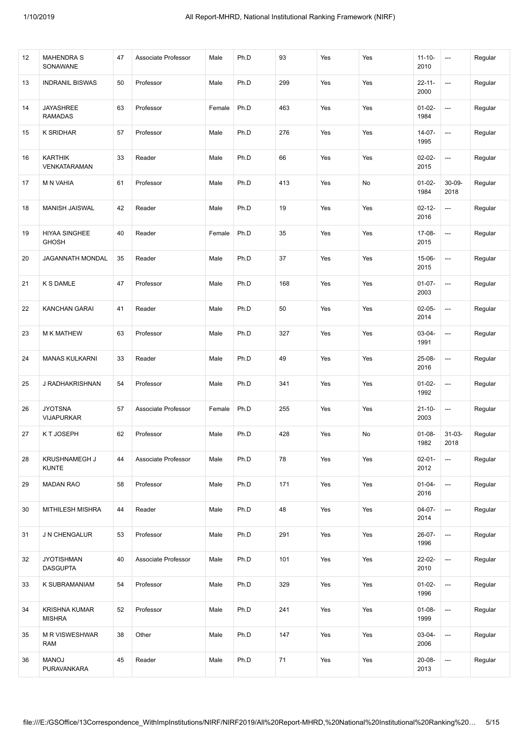| 12 | <b>MAHENDRA S</b><br>SONAWANE         | 47 | Associate Professor | Male   | Ph.D | 93   | Yes | Yes | $11 - 10 -$<br>2010 | $\hspace{0.05cm} \ldots$ | Regular |
|----|---------------------------------------|----|---------------------|--------|------|------|-----|-----|---------------------|--------------------------|---------|
| 13 | <b>INDRANIL BISWAS</b>                | 50 | Professor           | Male   | Ph.D | 299  | Yes | Yes | $22 - 11 -$<br>2000 | ---                      | Regular |
| 14 | <b>JAYASHREE</b><br><b>RAMADAS</b>    | 63 | Professor           | Female | Ph.D | 463  | Yes | Yes | $01-02-$<br>1984    | ---                      | Regular |
| 15 | K SRIDHAR                             | 57 | Professor           | Male   | Ph.D | 276  | Yes | Yes | $14-07-$<br>1995    | $\hspace{0.05cm} \cdots$ | Regular |
| 16 | <b>KARTHIK</b><br>VENKATARAMAN        | 33 | Reader              | Male   | Ph.D | 66   | Yes | Yes | $02 - 02 -$<br>2015 | $\hspace{0.05cm} \ldots$ | Regular |
| 17 | M N VAHIA                             | 61 | Professor           | Male   | Ph.D | 413  | Yes | No  | $01-02-$<br>1984    | $30 - 09 -$<br>2018      | Regular |
| 18 | MANISH JAISWAL                        | 42 | Reader              | Male   | Ph.D | 19   | Yes | Yes | $02 - 12 -$<br>2016 | ---                      | Regular |
| 19 | HIYAA SINGHEE<br><b>GHOSH</b>         | 40 | Reader              | Female | Ph.D | 35   | Yes | Yes | 17-08-<br>2015      | $\hspace{0.05cm} \ldots$ | Regular |
| 20 | JAGANNATH MONDAL                      | 35 | Reader              | Male   | Ph.D | 37   | Yes | Yes | 15-06-<br>2015      | $\hspace{0.05cm} \ldots$ | Regular |
| 21 | <b>K S DAMLE</b>                      | 47 | Professor           | Male   | Ph.D | 168  | Yes | Yes | $01-07-$<br>2003    | ---                      | Regular |
| 22 | <b>KANCHAN GARAI</b>                  | 41 | Reader              | Male   | Ph.D | 50   | Yes | Yes | $02-05-$<br>2014    | ---                      | Regular |
| 23 | <b>M K MATHEW</b>                     | 63 | Professor           | Male   | Ph.D | 327  | Yes | Yes | $03 - 04 -$<br>1991 | $\hspace{0.05cm} \ldots$ | Regular |
| 24 | <b>MANAS KULKARNI</b>                 | 33 | Reader              | Male   | Ph.D | 49   | Yes | Yes | 25-08-<br>2016      | $\hspace{0.05cm} \ldots$ | Regular |
| 25 | J RADHAKRISHNAN                       | 54 | Professor           | Male   | Ph.D | 341  | Yes | Yes | $01-02-$<br>1992    | ---                      | Regular |
| 26 | <b>JYOTSNA</b><br><b>VIJAPURKAR</b>   | 57 | Associate Professor | Female | Ph.D | 255  | Yes | Yes | $21 - 10 -$<br>2003 | ---                      | Regular |
| 27 | K T JOSEPH                            | 62 | Professor           | Male   | Ph.D | 428  | Yes | No  | $01-08-$<br>1982    | $31-03-$<br>2018         | Regular |
| 28 | KRUSHNAMEGH J<br><b>KUNTE</b>         | 44 | Associate Professor | Male   | Ph.D | 78   | Yes | Yes | $02 - 01 -$<br>2012 | $\hspace{0.05cm} \cdots$ | Regular |
| 29 | <b>MADAN RAO</b>                      | 58 | Professor           | Male   | Ph.D | 171  | Yes | Yes | $01 - 04 -$<br>2016 | $\hspace{0.05cm} \cdots$ | Regular |
| 30 | MITHILESH MISHRA                      | 44 | Reader              | Male   | Ph.D | 48   | Yes | Yes | $04-07-$<br>2014    | $\hspace{0.05cm} \cdots$ | Regular |
| 31 | J N CHENGALUR                         | 53 | Professor           | Male   | Ph.D | 291  | Yes | Yes | 26-07-<br>1996      | $\hspace{0.05cm} \cdots$ | Regular |
| 32 | <b>JYOTISHMAN</b><br><b>DASGUPTA</b>  | 40 | Associate Professor | Male   | Ph.D | 101  | Yes | Yes | 22-02-<br>2010      | $\hspace{0.05cm} \cdots$ | Regular |
| 33 | K SUBRAMANIAM                         | 54 | Professor           | Male   | Ph.D | 329  | Yes | Yes | $01-02-$<br>1996    | $\hspace{0.05cm} \cdots$ | Regular |
| 34 | <b>KRISHNA KUMAR</b><br><b>MISHRA</b> | 52 | Professor           | Male   | Ph.D | 241  | Yes | Yes | $01-08-$<br>1999    | ---                      | Regular |
| 35 | M R VISWESHWAR<br>RAM                 | 38 | Other               | Male   | Ph.D | 147  | Yes | Yes | $03 - 04 -$<br>2006 | $\hspace{0.05cm} \cdots$ | Regular |
| 36 | <b>MANOJ</b><br>PURAVANKARA           | 45 | Reader              | Male   | Ph.D | $71$ | Yes | Yes | 20-08-<br>2013      | $\hspace{0.05cm} \cdots$ | Regular |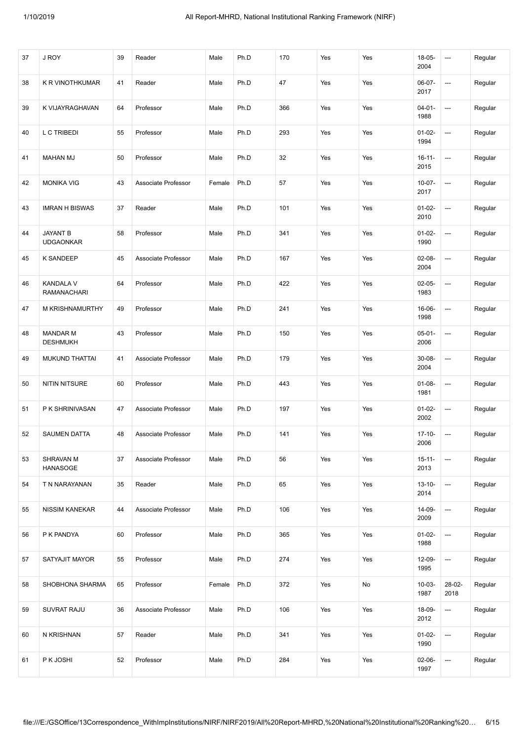| 37 | J ROY                               | 39 | Reader              | Male   | Ph.D | 170 | Yes | Yes | $18-05-$<br>2004    | ---                      | Regular |
|----|-------------------------------------|----|---------------------|--------|------|-----|-----|-----|---------------------|--------------------------|---------|
| 38 | K R VINOTHKUMAR                     | 41 | Reader              | Male   | Ph.D | 47  | Yes | Yes | 06-07-<br>2017      | ---                      | Regular |
| 39 | K VIJAYRAGHAVAN                     | 64 | Professor           | Male   | Ph.D | 366 | Yes | Yes | $04 - 01 -$<br>1988 | ---                      | Regular |
| 40 | L C TRIBEDI                         | 55 | Professor           | Male   | Ph.D | 293 | Yes | Yes | $01-02-$<br>1994    | ---                      | Regular |
| 41 | <b>MAHAN MJ</b>                     | 50 | Professor           | Male   | Ph.D | 32  | Yes | Yes | $16 - 11 -$<br>2015 | ---                      | Regular |
| 42 | <b>MONIKA VIG</b>                   | 43 | Associate Professor | Female | Ph.D | 57  | Yes | Yes | $10-07-$<br>2017    | ---                      | Regular |
| 43 | <b>IMRAN H BISWAS</b>               | 37 | Reader              | Male   | Ph.D | 101 | Yes | Yes | $01-02-$<br>2010    | ---                      | Regular |
| 44 | <b>JAYANT B</b><br><b>UDGAONKAR</b> | 58 | Professor           | Male   | Ph.D | 341 | Yes | Yes | $01-02-$<br>1990    | ---                      | Regular |
| 45 | K SANDEEP                           | 45 | Associate Professor | Male   | Ph.D | 167 | Yes | Yes | $02 - 08 -$<br>2004 | ---                      | Regular |
| 46 | <b>KANDALA V</b><br>RAMANACHARI     | 64 | Professor           | Male   | Ph.D | 422 | Yes | Yes | $02-05-$<br>1983    | ---                      | Regular |
| 47 | M KRISHNAMURTHY                     | 49 | Professor           | Male   | Ph.D | 241 | Yes | Yes | 16-06-<br>1998      | ---                      | Regular |
| 48 | <b>MANDAR M</b><br><b>DESHMUKH</b>  | 43 | Professor           | Male   | Ph.D | 150 | Yes | Yes | $05 - 01 -$<br>2006 | ---                      | Regular |
| 49 | <b>MUKUND THATTAI</b>               | 41 | Associate Professor | Male   | Ph.D | 179 | Yes | Yes | $30 - 08 -$<br>2004 | ---                      | Regular |
| 50 | <b>NITIN NITSURE</b>                | 60 | Professor           | Male   | Ph.D | 443 | Yes | Yes | $01-08-$<br>1981    | ---                      | Regular |
| 51 | P K SHRINIVASAN                     | 47 | Associate Professor | Male   | Ph.D | 197 | Yes | Yes | $01-02-$<br>2002    | ---                      | Regular |
| 52 | <b>SAUMEN DATTA</b>                 | 48 | Associate Professor | Male   | Ph.D | 141 | Yes | Yes | $17 - 10 -$<br>2006 | ---                      | Regular |
| 53 | SHRAVAN M<br><b>HANASOGE</b>        | 37 | Associate Professor | Male   | Ph.D | 56  | Yes | Yes | $15 - 11 -$<br>2013 |                          | Regular |
| 54 | T N NARAYANAN                       | 35 | Reader              | Male   | Ph.D | 65  | Yes | Yes | $13 - 10 -$<br>2014 | ---                      | Regular |
| 55 | <b>NISSIM KANEKAR</b>               | 44 | Associate Professor | Male   | Ph.D | 106 | Yes | Yes | 14-09-<br>2009      | ---                      | Regular |
| 56 | P K PANDYA                          | 60 | Professor           | Male   | Ph.D | 365 | Yes | Yes | $01-02-$<br>1988    | ---                      | Regular |
| 57 | SATYAJIT MAYOR                      | 55 | Professor           | Male   | Ph.D | 274 | Yes | Yes | 12-09-<br>1995      | $\overline{\phantom{a}}$ | Regular |
| 58 | SHOBHONA SHARMA                     | 65 | Professor           | Female | Ph.D | 372 | Yes | No  | $10 - 03 -$<br>1987 | 28-02-<br>2018           | Regular |
| 59 | SUVRAT RAJU                         | 36 | Associate Professor | Male   | Ph.D | 106 | Yes | Yes | 18-09-<br>2012      | ---                      | Regular |
| 60 | N KRISHNAN                          | 57 | Reader              | Male   | Ph.D | 341 | Yes | Yes | $01-02-$<br>1990    | ---                      | Regular |
| 61 | P K JOSHI                           | 52 | Professor           | Male   | Ph.D | 284 | Yes | Yes | $02-06-$<br>1997    | ---                      | Regular |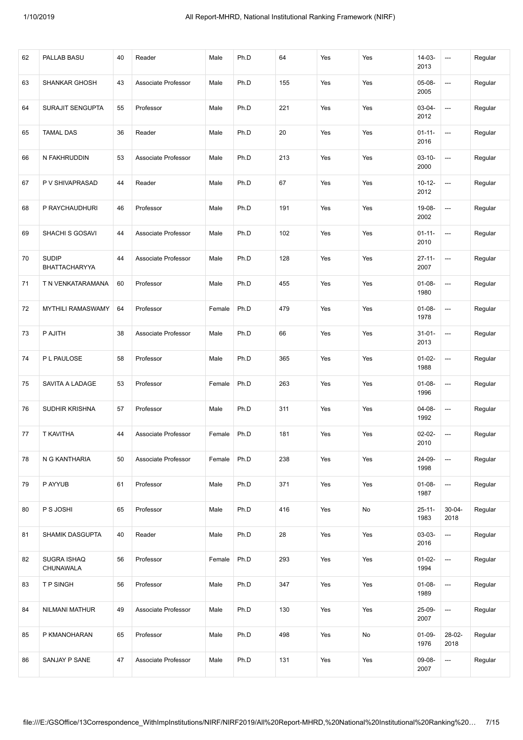| 62 | PALLAB BASU                   | 40 | Reader              | Male   | Ph.D | 64  | Yes | Yes | $14-03-$<br>2013    | ---                      | Regular |
|----|-------------------------------|----|---------------------|--------|------|-----|-----|-----|---------------------|--------------------------|---------|
| 63 | <b>SHANKAR GHOSH</b>          | 43 | Associate Professor | Male   | Ph.D | 155 | Yes | Yes | 05-08-<br>2005      | $\hspace{0.05cm} \ldots$ | Regular |
| 64 | SURAJIT SENGUPTA              | 55 | Professor           | Male   | Ph.D | 221 | Yes | Yes | $03-04-$<br>2012    | ---                      | Regular |
| 65 | <b>TAMAL DAS</b>              | 36 | Reader              | Male   | Ph.D | 20  | Yes | Yes | $01 - 11 -$<br>2016 | ---                      | Regular |
| 66 | N FAKHRUDDIN                  | 53 | Associate Professor | Male   | Ph.D | 213 | Yes | Yes | $03 - 10 -$<br>2000 | $\hspace{0.05cm} \ldots$ | Regular |
| 67 | P V SHIVAPRASAD               | 44 | Reader              | Male   | Ph.D | 67  | Yes | Yes | $10 - 12 -$<br>2012 | $\hspace{0.05cm} \ldots$ | Regular |
| 68 | P RAYCHAUDHURI                | 46 | Professor           | Male   | Ph.D | 191 | Yes | Yes | 19-08-<br>2002      | ---                      | Regular |
| 69 | SHACHI S GOSAVI               | 44 | Associate Professor | Male   | Ph.D | 102 | Yes | Yes | $01 - 11 -$<br>2010 | ---                      | Regular |
| 70 | <b>SUDIP</b><br>BHATTACHARYYA | 44 | Associate Professor | Male   | Ph.D | 128 | Yes | Yes | $27 - 11 -$<br>2007 | $\hspace{0.05cm} \ldots$ | Regular |
| 71 | T N VENKATARAMANA             | 60 | Professor           | Male   | Ph.D | 455 | Yes | Yes | $01 - 08 -$<br>1980 | ---                      | Regular |
| 72 | <b>MYTHILI RAMASWAMY</b>      | 64 | Professor           | Female | Ph.D | 479 | Yes | Yes | $01 - 08 -$<br>1978 | ---                      | Regular |
| 73 | P AJITH                       | 38 | Associate Professor | Male   | Ph.D | 66  | Yes | Yes | $31 - 01 -$<br>2013 | ---                      | Regular |
| 74 | P L PAULOSE                   | 58 | Professor           | Male   | Ph.D | 365 | Yes | Yes | $01-02-$<br>1988    | $\hspace{0.05cm} \ldots$ | Regular |
| 75 | SAVITA A LADAGE               | 53 | Professor           | Female | Ph.D | 263 | Yes | Yes | $01 - 08 -$<br>1996 | ---                      | Regular |
| 76 | SUDHIR KRISHNA                | 57 | Professor           | Male   | Ph.D | 311 | Yes | Yes | 04-08-<br>1992      | ---                      | Regular |
| 77 | T KAVITHA                     | 44 | Associate Professor | Female | Ph.D | 181 | Yes | Yes | $02 - 02 -$<br>2010 | ---                      | Regular |
| 78 | N G KANTHARIA                 | 50 | Associate Professor | Female | Ph.D | 238 | Yes | Yes | 24-09-<br>1998      | $\overline{\phantom{a}}$ | Regular |
| 79 | P AYYUB                       | 61 | Professor           | Male   | Ph.D | 371 | Yes | Yes | $01-08-$<br>1987    | ---                      | Regular |
| 80 | P S JOSHI                     | 65 | Professor           | Male   | Ph.D | 416 | Yes | No  | $25 - 11 -$<br>1983 | $30 - 04 -$<br>2018      | Regular |
| 81 | SHAMIK DASGUPTA               | 40 | Reader              | Male   | Ph.D | 28  | Yes | Yes | 03-03-<br>2016      | ---                      | Regular |
| 82 | SUGRA ISHAQ<br>CHUNAWALA      | 56 | Professor           | Female | Ph.D | 293 | Yes | Yes | $01-02-$<br>1994    | $\overline{\phantom{a}}$ | Regular |
| 83 | T P SINGH                     | 56 | Professor           | Male   | Ph.D | 347 | Yes | Yes | $01-08-$<br>1989    | $\hspace{0.05cm} \cdots$ | Regular |
| 84 | NILMANI MATHUR                | 49 | Associate Professor | Male   | Ph.D | 130 | Yes | Yes | 25-09-<br>2007      | ---                      | Regular |
| 85 | P KMANOHARAN                  | 65 | Professor           | Male   | Ph.D | 498 | Yes | No  | $01-09-$<br>1976    | 28-02-<br>2018           | Regular |
| 86 | SANJAY P SANE                 | 47 | Associate Professor | Male   | Ph.D | 131 | Yes | Yes | 09-08-<br>2007      | ---                      | Regular |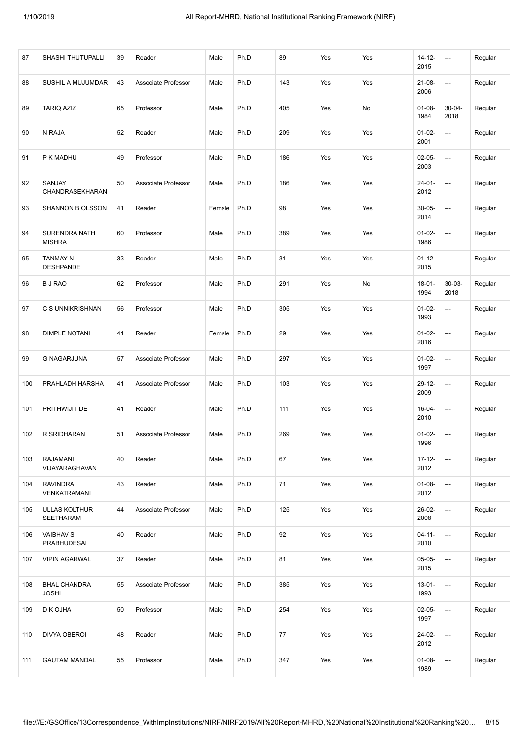| 87  | SHASHI THUTUPALLI                        | 39 | Reader              | Male   | Ph.D | 89   | Yes | Yes | $14 - 12 -$<br>2015 | $\hspace{0.05cm} \ldots$ | Regular |
|-----|------------------------------------------|----|---------------------|--------|------|------|-----|-----|---------------------|--------------------------|---------|
| 88  | SUSHIL A MUJUMDAR                        | 43 | Associate Professor | Male   | Ph.D | 143  | Yes | Yes | $21-08-$<br>2006    | $\hspace{0.05cm} \ldots$ | Regular |
| 89  | <b>TARIQ AZIZ</b>                        | 65 | Professor           | Male   | Ph.D | 405  | Yes | No  | $01 - 08 -$<br>1984 | $30 - 04 -$<br>2018      | Regular |
| 90  | N RAJA                                   | 52 | Reader              | Male   | Ph.D | 209  | Yes | Yes | $01-02-$<br>2001    | ---                      | Regular |
| 91  | P K MADHU                                | 49 | Professor           | Male   | Ph.D | 186  | Yes | Yes | $02-05-$<br>2003    | ---                      | Regular |
| 92  | SANJAY<br>CHANDRASEKHARAN                | 50 | Associate Professor | Male   | Ph.D | 186  | Yes | Yes | $24 - 01 -$<br>2012 | ---                      | Regular |
| 93  | SHANNON B OLSSON                         | 41 | Reader              | Female | Ph.D | 98   | Yes | Yes | $30 - 05 -$<br>2014 | ---                      | Regular |
| 94  | SURENDRA NATH<br><b>MISHRA</b>           | 60 | Professor           | Male   | Ph.D | 389  | Yes | Yes | $01-02-$<br>1986    | $\hspace{0.05cm} \ldots$ | Regular |
| 95  | <b>TANMAY N</b><br><b>DESHPANDE</b>      | 33 | Reader              | Male   | Ph.D | 31   | Yes | Yes | $01 - 12 -$<br>2015 | $\hspace{0.05cm} \ldots$ | Regular |
| 96  | <b>BJ RAO</b>                            | 62 | Professor           | Male   | Ph.D | 291  | Yes | No  | $18 - 01 -$<br>1994 | $30 - 03 -$<br>2018      | Regular |
| 97  | C S UNNIKRISHNAN                         | 56 | Professor           | Male   | Ph.D | 305  | Yes | Yes | $01-02-$<br>1993    | ---                      | Regular |
| 98  | <b>DIMPLE NOTANI</b>                     | 41 | Reader              | Female | Ph.D | 29   | Yes | Yes | $01-02-$<br>2016    | $\hspace{0.05cm} \ldots$ | Regular |
| 99  | <b>G NAGARJUNA</b>                       | 57 | Associate Professor | Male   | Ph.D | 297  | Yes | Yes | $01-02-$<br>1997    | $\hspace{0.05cm} \ldots$ | Regular |
| 100 | PRAHLADH HARSHA                          | 41 | Associate Professor | Male   | Ph.D | 103  | Yes | Yes | 29-12-<br>2009      | $\hspace{0.05cm} \ldots$ | Regular |
| 101 | PRITHWIJIT DE                            | 41 | Reader              | Male   | Ph.D | 111  | Yes | Yes | 16-04-<br>2010      | ---                      | Regular |
| 102 | R SRIDHARAN                              | 51 | Associate Professor | Male   | Ph.D | 269  | Yes | Yes | $01-02-$<br>1996    | $\hspace{0.05cm} \ldots$ | Regular |
| 103 | <b>RAJAMANI</b><br>VIJAYARAGHAVAN        | 40 | Reader              | Male   | Ph.D | 67   | Yes | Yes | $17 - 12 -$<br>2012 | $\hspace{0.05cm} \cdots$ | Regular |
| 104 | <b>RAVINDRA</b><br>VENKATRAMANI          | 43 | Reader              | Male   | Ph.D | $71$ | Yes | Yes | $01-08-$<br>2012    | $\hspace{0.05cm} \cdots$ | Regular |
| 105 | <b>ULLAS KOLTHUR</b><br><b>SEETHARAM</b> | 44 | Associate Professor | Male   | Ph.D | 125  | Yes | Yes | 26-02-<br>2008      | ---                      | Regular |
| 106 | <b>VAIBHAV S</b><br>PRABHUDESAI          | 40 | Reader              | Male   | Ph.D | 92   | Yes | Yes | $04 - 11 -$<br>2010 | $\hspace{0.05cm} \cdots$ | Regular |
| 107 | <b>VIPIN AGARWAL</b>                     | 37 | Reader              | Male   | Ph.D | 81   | Yes | Yes | $05-05-$<br>2015    | $\hspace{0.05cm} \cdots$ | Regular |
| 108 | <b>BHAL CHANDRA</b><br><b>JOSHI</b>      | 55 | Associate Professor | Male   | Ph.D | 385  | Yes | Yes | $13 - 01 -$<br>1993 | $\hspace{0.05cm} \cdots$ | Regular |
| 109 | D K OJHA                                 | 50 | Professor           | Male   | Ph.D | 254  | Yes | Yes | $02-05-$<br>1997    | ---                      | Regular |
| 110 | DIVYA OBEROI                             | 48 | Reader              | Male   | Ph.D | 77   | Yes | Yes | 24-02-<br>2012      | $\hspace{0.05cm} \cdots$ | Regular |
| 111 | <b>GAUTAM MANDAL</b>                     | 55 | Professor           | Male   | Ph.D | 347  | Yes | Yes | $01-08-$<br>1989    | $\hspace{0.05cm} \cdots$ | Regular |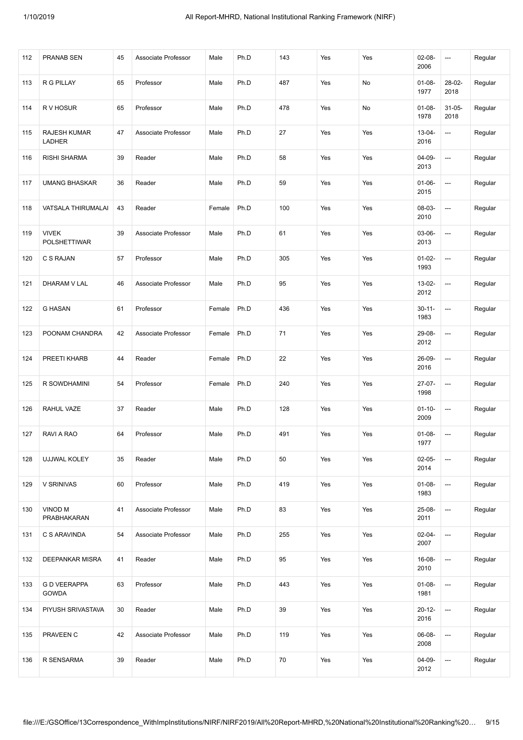| 112 | <b>PRANAB SEN</b>                    | 45 | Associate Professor | Male   | Ph.D | 143 | Yes | Yes | $02 - 08 -$<br>2006 | ---                 | Regular |
|-----|--------------------------------------|----|---------------------|--------|------|-----|-----|-----|---------------------|---------------------|---------|
| 113 | R G PILLAY                           | 65 | Professor           | Male   | Ph.D | 487 | Yes | No  | $01-08-$<br>1977    | 28-02-<br>2018      | Regular |
| 114 | R V HOSUR                            | 65 | Professor           | Male   | Ph.D | 478 | Yes | No  | $01-08-$<br>1978    | $31 - 05 -$<br>2018 | Regular |
| 115 | <b>RAJESH KUMAR</b><br><b>LADHER</b> | 47 | Associate Professor | Male   | Ph.D | 27  | Yes | Yes | $13 - 04 -$<br>2016 | ---                 | Regular |
| 116 | <b>RISHI SHARMA</b>                  | 39 | Reader              | Male   | Ph.D | 58  | Yes | Yes | 04-09-<br>2013      | ---                 | Regular |
| 117 | <b>UMANG BHASKAR</b>                 | 36 | Reader              | Male   | Ph.D | 59  | Yes | Yes | $01-06-$<br>2015    | ---                 | Regular |
| 118 | VATSALA THIRUMALAI                   | 43 | Reader              | Female | Ph.D | 100 | Yes | Yes | 08-03-<br>2010      | ---                 | Regular |
| 119 | <b>VIVEK</b><br>POLSHETTIWAR         | 39 | Associate Professor | Male   | Ph.D | 61  | Yes | Yes | 03-06-<br>2013      | ---                 | Regular |
| 120 | C S RAJAN                            | 57 | Professor           | Male   | Ph.D | 305 | Yes | Yes | $01-02-$<br>1993    | ---                 | Regular |
| 121 | DHARAM V LAL                         | 46 | Associate Professor | Male   | Ph.D | 95  | Yes | Yes | 13-02-<br>2012      | ---                 | Regular |
| 122 | <b>G HASAN</b>                       | 61 | Professor           | Female | Ph.D | 436 | Yes | Yes | $30 - 11 -$<br>1983 | ---                 | Regular |
| 123 | POONAM CHANDRA                       | 42 | Associate Professor | Female | Ph.D | 71  | Yes | Yes | 29-08-<br>2012      | ---                 | Regular |
| 124 | PREETI KHARB                         | 44 | Reader              | Female | Ph.D | 22  | Yes | Yes | 26-09-<br>2016      | ---                 | Regular |
| 125 | R SOWDHAMINI                         | 54 | Professor           | Female | Ph.D | 240 | Yes | Yes | 27-07-<br>1998      | ---                 | Regular |
| 126 | RAHUL VAZE                           | 37 | Reader              | Male   | Ph.D | 128 | Yes | Yes | $01 - 10 -$<br>2009 | ---                 | Regular |
| 127 | RAVI A RAO                           | 64 | Professor           | Male   | Ph.D | 491 | Yes | Yes | $01-08-$<br>1977    | ---                 | Regular |
| 128 | UJJWAL KOLEY                         | 35 | Reader              | Male   | Ph.D | 50  | Yes | Yes | $02-05-$<br>2014    |                     | Regular |
| 129 | V SRINIVAS                           | 60 | Professor           | Male   | Ph.D | 419 | Yes | Yes | $01-08-$<br>1983    | ---                 | Regular |
| 130 | VINOD M<br>PRABHAKARAN               | 41 | Associate Professor | Male   | Ph.D | 83  | Yes | Yes | $25-08-$<br>2011    | ---                 | Regular |
| 131 | C S ARAVINDA                         | 54 | Associate Professor | Male   | Ph.D | 255 | Yes | Yes | $02 - 04 -$<br>2007 | ---                 | Regular |
| 132 | DEEPANKAR MISRA                      | 41 | Reader              | Male   | Ph.D | 95  | Yes | Yes | 16-08-<br>2010      | ---                 | Regular |
| 133 | <b>G D VEERAPPA</b><br><b>GOWDA</b>  | 63 | Professor           | Male   | Ph.D | 443 | Yes | Yes | $01-08-$<br>1981    | ---                 | Regular |
| 134 | PIYUSH SRIVASTAVA                    | 30 | Reader              | Male   | Ph.D | 39  | Yes | Yes | $20 - 12 -$<br>2016 | ---                 | Regular |
| 135 | PRAVEEN C                            | 42 | Associate Professor | Male   | Ph.D | 119 | Yes | Yes | 06-08-<br>2008      | ---                 | Regular |
| 136 | R SENSARMA                           | 39 | Reader              | Male   | Ph.D | 70  | Yes | Yes | $04 - 09 -$<br>2012 | ---                 | Regular |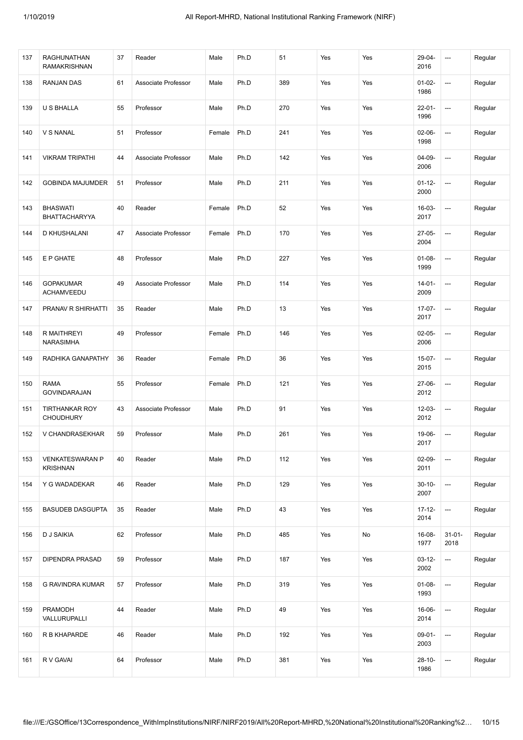| 137 | <b>RAGHUNATHAN</b><br><b>RAMAKRISHNAN</b> | 37 | Reader              | Male   | Ph.D | 51  | Yes | Yes | 29-04-<br>2016      | ---                 | Regular |
|-----|-------------------------------------------|----|---------------------|--------|------|-----|-----|-----|---------------------|---------------------|---------|
| 138 | RANJAN DAS                                | 61 | Associate Professor | Male   | Ph.D | 389 | Yes | Yes | $01-02-$<br>1986    | ---                 | Regular |
| 139 | U S BHALLA                                | 55 | Professor           | Male   | Ph.D | 270 | Yes | Yes | $22 - 01 -$<br>1996 | ---                 | Regular |
| 140 | V S NANAL                                 | 51 | Professor           | Female | Ph.D | 241 | Yes | Yes | $02 - 06 -$<br>1998 | ---                 | Regular |
| 141 | <b>VIKRAM TRIPATHI</b>                    | 44 | Associate Professor | Male   | Ph.D | 142 | Yes | Yes | 04-09-<br>2006      | ---                 | Regular |
| 142 | <b>GOBINDA MAJUMDER</b>                   | 51 | Professor           | Male   | Ph.D | 211 | Yes | Yes | $01 - 12 -$<br>2000 | ---                 | Regular |
| 143 | <b>BHASWATI</b><br><b>BHATTACHARYYA</b>   | 40 | Reader              | Female | Ph.D | 52  | Yes | Yes | 16-03-<br>2017      | ---                 | Regular |
| 144 | <b>D KHUSHALANI</b>                       | 47 | Associate Professor | Female | Ph.D | 170 | Yes | Yes | $27-05-$<br>2004    | ---                 | Regular |
| 145 | E P GHATE                                 | 48 | Professor           | Male   | Ph.D | 227 | Yes | Yes | $01 - 08 -$<br>1999 | ---                 | Regular |
| 146 | <b>GOPAKUMAR</b><br>ACHAMVEEDU            | 49 | Associate Professor | Male   | Ph.D | 114 | Yes | Yes | $14 - 01 -$<br>2009 | ---                 | Regular |
| 147 | PRANAV R SHIRHATTI                        | 35 | Reader              | Male   | Ph.D | 13  | Yes | Yes | $17-07-$<br>2017    | ---                 | Regular |
| 148 | R MAITHREYI<br>NARASIMHA                  | 49 | Professor           | Female | Ph.D | 146 | Yes | Yes | $02-05-$<br>2006    | ---                 | Regular |
| 149 | RADHIKA GANAPATHY                         | 36 | Reader              | Female | Ph.D | 36  | Yes | Yes | $15-07-$<br>2015    | ---                 | Regular |
| 150 | <b>RAMA</b><br>GOVINDARAJAN               | 55 | Professor           | Female | Ph.D | 121 | Yes | Yes | 27-06-<br>2012      | ---                 | Regular |
| 151 | <b>TIRTHANKAR ROY</b><br><b>CHOUDHURY</b> | 43 | Associate Professor | Male   | Ph.D | 91  | Yes | Yes | $12 - 03 -$<br>2012 | ---                 | Regular |
| 152 | V CHANDRASEKHAR                           | 59 | Professor           | Male   | Ph.D | 261 | Yes | Yes | 19-06-<br>2017      | ---                 | Regular |
| 153 | <b>VENKATESWARAN P</b><br><b>KRISHNAN</b> | 40 | Reader              | Male   | Ph.D | 112 | Yes | Yes | $02-09-$<br>2011    |                     | Regular |
| 154 | Y G WADADEKAR                             | 46 | Reader              | Male   | Ph.D | 129 | Yes | Yes | $30 - 10 -$<br>2007 | ---                 | Regular |
| 155 | <b>BASUDEB DASGUPTA</b>                   | 35 | Reader              | Male   | Ph.D | 43  | Yes | Yes | $17 - 12 -$<br>2014 | ---                 | Regular |
| 156 | <b>D J SAIKIA</b>                         | 62 | Professor           | Male   | Ph.D | 485 | Yes | No  | 16-08-<br>1977      | $31 - 01 -$<br>2018 | Regular |
| 157 | DIPENDRA PRASAD                           | 59 | Professor           | Male   | Ph.D | 187 | Yes | Yes | $03 - 12 -$<br>2002 | ---                 | Regular |
| 158 | G RAVINDRA KUMAR                          | 57 | Professor           | Male   | Ph.D | 319 | Yes | Yes | $01 - 08 -$<br>1993 | ---                 | Regular |
| 159 | PRAMODH<br>VALLURUPALLI                   | 44 | Reader              | Male   | Ph.D | 49  | Yes | Yes | 16-06-<br>2014      | ---                 | Regular |
| 160 | R B KHAPARDE                              | 46 | Reader              | Male   | Ph.D | 192 | Yes | Yes | $09-01-$<br>2003    | ---                 | Regular |
| 161 | R V GAVAI                                 | 64 | Professor           | Male   | Ph.D | 381 | Yes | Yes | $28 - 10 -$<br>1986 | ---                 | Regular |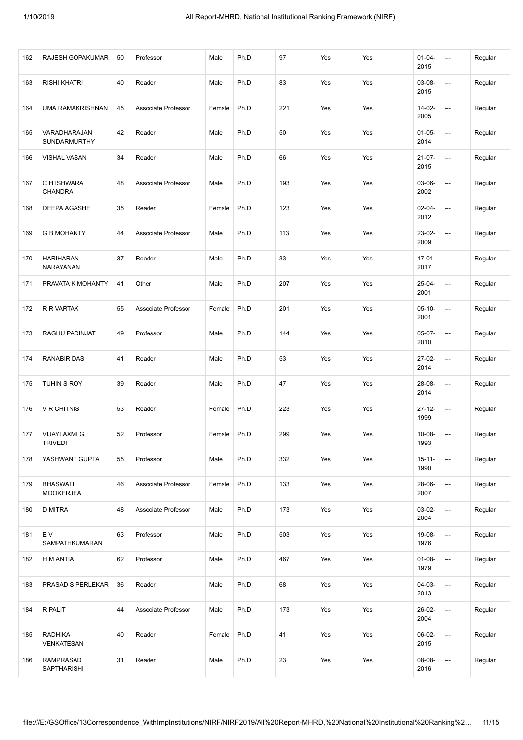| 162 | RAJESH GOPAKUMAR                       | 50 | Professor           | Male   | Ph.D | 97  | Yes | Yes | $01 - 04 -$<br>2015 | $\hspace{0.05cm} \ldots$ | Regular |
|-----|----------------------------------------|----|---------------------|--------|------|-----|-----|-----|---------------------|--------------------------|---------|
| 163 | <b>RISHI KHATRI</b>                    | 40 | Reader              | Male   | Ph.D | 83  | Yes | Yes | 03-08-<br>2015      | ---                      | Regular |
| 164 | <b>UMA RAMAKRISHNAN</b>                | 45 | Associate Professor | Female | Ph.D | 221 | Yes | Yes | 14-02-<br>2005      | ---                      | Regular |
| 165 | VARADHARAJAN<br>SUNDARMURTHY           | 42 | Reader              | Male   | Ph.D | 50  | Yes | Yes | $01-05-$<br>2014    | ---                      | Regular |
| 166 | <b>VISHAL VASAN</b>                    | 34 | Reader              | Male   | Ph.D | 66  | Yes | Yes | $21-07-$<br>2015    | ---                      | Regular |
| 167 | C H ISHWARA<br>CHANDRA                 | 48 | Associate Professor | Male   | Ph.D | 193 | Yes | Yes | 03-06-<br>2002      | ---                      | Regular |
| 168 | DEEPA AGASHE                           | 35 | Reader              | Female | Ph.D | 123 | Yes | Yes | $02 - 04 -$<br>2012 | ---                      | Regular |
| 169 | <b>G B MOHANTY</b>                     | 44 | Associate Professor | Male   | Ph.D | 113 | Yes | Yes | 23-02-<br>2009      | ---                      | Regular |
| 170 | <b>HARIHARAN</b><br>NARAYANAN          | 37 | Reader              | Male   | Ph.D | 33  | Yes | Yes | $17-01-$<br>2017    | $\hspace{0.05cm} \ldots$ | Regular |
| 171 | PRAVATA K MOHANTY                      | 41 | Other               | Male   | Ph.D | 207 | Yes | Yes | $25 - 04 -$<br>2001 | ---                      | Regular |
| 172 | R R VARTAK                             | 55 | Associate Professor | Female | Ph.D | 201 | Yes | Yes | $05 - 10 -$<br>2001 | ---                      | Regular |
| 173 | RAGHU PADINJAT                         | 49 | Professor           | Male   | Ph.D | 144 | Yes | Yes | $05-07-$<br>2010    | ---                      | Regular |
| 174 | <b>RANABIR DAS</b>                     | 41 | Reader              | Male   | Ph.D | 53  | Yes | Yes | 27-02-<br>2014      | ---                      | Regular |
| 175 | TUHIN S ROY                            | 39 | Reader              | Male   | Ph.D | 47  | Yes | Yes | 28-08-<br>2014      | ---                      | Regular |
| 176 | <b>V R CHITNIS</b>                     | 53 | Reader              | Female | Ph.D | 223 | Yes | Yes | $27 - 12 -$<br>1999 | ---                      | Regular |
| 177 | <b>VIJAYLAXMI G</b><br><b>TRIVEDI</b>  | 52 | Professor           | Female | Ph.D | 299 | Yes | Yes | $10 - 08 -$<br>1993 | ---                      | Regular |
| 178 | YASHWANT GUPTA                         | 55 | Professor           | Male   | Ph.D | 332 | Yes | Yes | $15 - 11 -$<br>1990 | $\overline{\phantom{a}}$ | Regular |
| 179 | <b>BHASWATI</b><br><b>MOOKERJEA</b>    | 46 | Associate Professor | Female | Ph.D | 133 | Yes | Yes | 28-06-<br>2007      | ---                      | Regular |
| 180 | D MITRA                                | 48 | Associate Professor | Male   | Ph.D | 173 | Yes | Yes | $03-02-$<br>2004    | ---                      | Regular |
| 181 | E V<br>SAMPATHKUMARAN                  | 63 | Professor           | Male   | Ph.D | 503 | Yes | Yes | 19-08-<br>1976      | ---                      | Regular |
| 182 | H M ANTIA                              | 62 | Professor           | Male   | Ph.D | 467 | Yes | Yes | $01-08-$<br>1979    | $\overline{\phantom{a}}$ | Regular |
| 183 | PRASAD S PERLEKAR                      | 36 | Reader              | Male   | Ph.D | 68  | Yes | Yes | $04-03-$<br>2013    | ---                      | Regular |
| 184 | R PALIT                                | 44 | Associate Professor | Male   | Ph.D | 173 | Yes | Yes | 26-02-<br>2004      | ---                      | Regular |
| 185 | <b>RADHIKA</b><br>VENKATESAN           | 40 | Reader              | Female | Ph.D | 41  | Yes | Yes | 06-02-<br>2015      | ---                      | Regular |
| 186 | <b>RAMPRASAD</b><br><b>SAPTHARISHI</b> | 31 | Reader              | Male   | Ph.D | 23  | Yes | Yes | 08-08-<br>2016      | ---                      | Regular |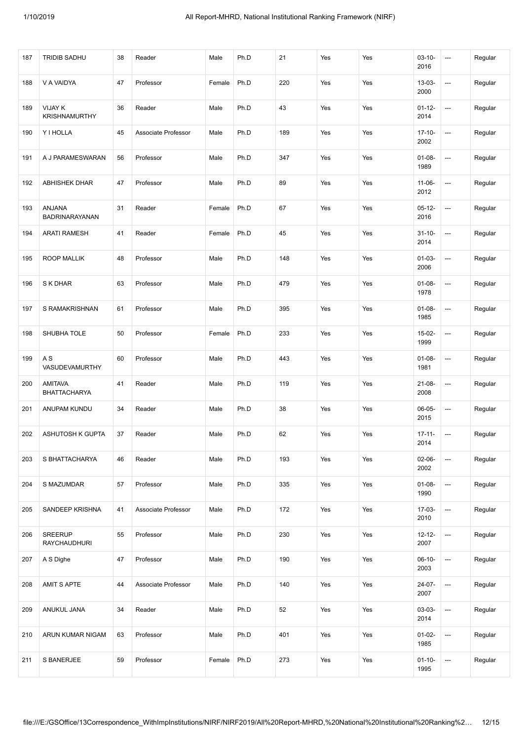| 187 | <b>TRIDIB SADHU</b>             | 38 | Reader              | Male   | Ph.D | 21  | Yes | Yes | $03 - 10 -$<br>2016 | ---                      | Regular |
|-----|---------------------------------|----|---------------------|--------|------|-----|-----|-----|---------------------|--------------------------|---------|
| 188 | V A VAIDYA                      | 47 | Professor           | Female | Ph.D | 220 | Yes | Yes | $13 - 03 -$<br>2000 | $\hspace{0.05cm} \cdots$ | Regular |
| 189 | VIJAY K<br><b>KRISHNAMURTHY</b> | 36 | Reader              | Male   | Ph.D | 43  | Yes | Yes | $01 - 12 -$<br>2014 | ---                      | Regular |
| 190 | Y I HOLLA                       | 45 | Associate Professor | Male   | Ph.D | 189 | Yes | Yes | $17-10-$<br>2002    | ---                      | Regular |
| 191 | A J PARAMESWARAN                | 56 | Professor           | Male   | Ph.D | 347 | Yes | Yes | $01 - 08 -$<br>1989 | ---                      | Regular |
| 192 | <b>ABHISHEK DHAR</b>            | 47 | Professor           | Male   | Ph.D | 89  | Yes | Yes | $11-06-$<br>2012    | ---                      | Regular |
| 193 | ANJANA<br>BADRINARAYANAN        | 31 | Reader              | Female | Ph.D | 67  | Yes | Yes | $05 - 12 -$<br>2016 | ---                      | Regular |
| 194 | <b>ARATI RAMESH</b>             | 41 | Reader              | Female | Ph.D | 45  | Yes | Yes | $31 - 10 -$<br>2014 | ---                      | Regular |
| 195 | <b>ROOP MALLIK</b>              | 48 | Professor           | Male   | Ph.D | 148 | Yes | Yes | $01-03-$<br>2006    | ---                      | Regular |
| 196 | S K DHAR                        | 63 | Professor           | Male   | Ph.D | 479 | Yes | Yes | $01 - 08 -$<br>1978 | $\hspace{0.05cm} \cdots$ | Regular |
| 197 | S RAMAKRISHNAN                  | 61 | Professor           | Male   | Ph.D | 395 | Yes | Yes | $01 - 08 -$<br>1985 | ---                      | Regular |
| 198 | SHUBHA TOLE                     | 50 | Professor           | Female | Ph.D | 233 | Yes | Yes | 15-02-<br>1999      | ---                      | Regular |
| 199 | A S<br>VASUDEVAMURTHY           | 60 | Professor           | Male   | Ph.D | 443 | Yes | Yes | $01 - 08 -$<br>1981 | $\hspace{0.05cm} \ldots$ | Regular |
| 200 | AMITAVA<br>BHATTACHARYA         | 41 | Reader              | Male   | Ph.D | 119 | Yes | Yes | $21 - 08 -$<br>2008 | ---                      | Regular |
| 201 | ANUPAM KUNDU                    | 34 | Reader              | Male   | Ph.D | 38  | Yes | Yes | 06-05-<br>2015      | ---                      | Regular |
| 202 | <b>ASHUTOSH K GUPTA</b>         | 37 | Reader              | Male   | Ph.D | 62  | Yes | Yes | $17 - 11 -$<br>2014 | ---                      | Regular |
| 203 | S BHATTACHARYA                  | 46 | Reader              | Male   | Ph.D | 193 | Yes | Yes | $02-06-$<br>2002    | $\overline{\phantom{a}}$ | Regular |
| 204 | S MAZUMDAR                      | 57 | Professor           | Male   | Ph.D | 335 | Yes | Yes | $01-08-$<br>1990    | ---                      | Regular |
| 205 | SANDEEP KRISHNA                 | 41 | Associate Professor | Male   | Ph.D | 172 | Yes | Yes | $17-03-$<br>2010    | ---                      | Regular |
| 206 | SREERUP<br><b>RAYCHAUDHURI</b>  | 55 | Professor           | Male   | Ph.D | 230 | Yes | Yes | $12 - 12 -$<br>2007 | ---                      | Regular |
| 207 | A S Dighe                       | 47 | Professor           | Male   | Ph.D | 190 | Yes | Yes | $06-10-$<br>2003    | $\hspace{0.05cm} \ldots$ | Regular |
| 208 | AMIT S APTE                     | 44 | Associate Professor | Male   | Ph.D | 140 | Yes | Yes | 24-07-<br>2007      | ---                      | Regular |
| 209 | ANUKUL JANA                     | 34 | Reader              | Male   | Ph.D | 52  | Yes | Yes | 03-03-<br>2014      | ---                      | Regular |
| 210 | ARUN KUMAR NIGAM                | 63 | Professor           | Male   | Ph.D | 401 | Yes | Yes | $01-02-$<br>1985    | ---                      | Regular |
| 211 | S BANERJEE                      | 59 | Professor           | Female | Ph.D | 273 | Yes | Yes | $01 - 10 -$<br>1995 | ---                      | Regular |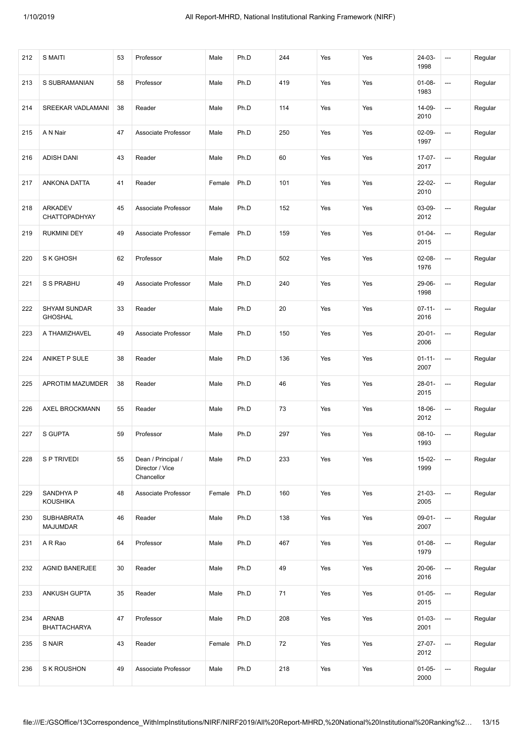| 212 | S MAITI                               | 53 | Professor                                           | Male   | Ph.D | 244 | Yes | Yes | $24-03-$<br>1998    | ---                      | Regular |
|-----|---------------------------------------|----|-----------------------------------------------------|--------|------|-----|-----|-----|---------------------|--------------------------|---------|
| 213 | S SUBRAMANIAN                         | 58 | Professor                                           | Male   | Ph.D | 419 | Yes | Yes | $01 - 08 -$<br>1983 | ---                      | Regular |
| 214 | SREEKAR VADLAMANI                     | 38 | Reader                                              | Male   | Ph.D | 114 | Yes | Yes | 14-09-<br>2010      | ---                      | Regular |
| 215 | A N Nair                              | 47 | Associate Professor                                 | Male   | Ph.D | 250 | Yes | Yes | $02-09-$<br>1997    | ---                      | Regular |
| 216 | <b>ADISH DANI</b>                     | 43 | Reader                                              | Male   | Ph.D | 60  | Yes | Yes | $17-07-$<br>2017    | ---                      | Regular |
| 217 | <b>ANKONA DATTA</b>                   | 41 | Reader                                              | Female | Ph.D | 101 | Yes | Yes | 22-02-<br>2010      | $\hspace{0.05cm} \cdots$ | Regular |
| 218 | <b>ARKADEV</b><br>CHATTOPADHYAY       | 45 | Associate Professor                                 | Male   | Ph.D | 152 | Yes | Yes | 03-09-<br>2012      | ---                      | Regular |
| 219 | <b>RUKMINI DEY</b>                    | 49 | Associate Professor                                 | Female | Ph.D | 159 | Yes | Yes | $01 - 04 -$<br>2015 | ---                      | Regular |
| 220 | S K GHOSH                             | 62 | Professor                                           | Male   | Ph.D | 502 | Yes | Yes | $02-08-$<br>1976    | ---                      | Regular |
| 221 | S S PRABHU                            | 49 | Associate Professor                                 | Male   | Ph.D | 240 | Yes | Yes | 29-06-<br>1998      | ---                      | Regular |
| 222 | <b>SHYAM SUNDAR</b><br><b>GHOSHAL</b> | 33 | Reader                                              | Male   | Ph.D | 20  | Yes | Yes | $07 - 11 -$<br>2016 | ---                      | Regular |
| 223 | A THAMIZHAVEL                         | 49 | Associate Professor                                 | Male   | Ph.D | 150 | Yes | Yes | $20 - 01 -$<br>2006 | ---                      | Regular |
| 224 | ANIKET P SULE                         | 38 | Reader                                              | Male   | Ph.D | 136 | Yes | Yes | $01 - 11 -$<br>2007 | ---                      | Regular |
| 225 | APROTIM MAZUMDER                      | 38 | Reader                                              | Male   | Ph.D | 46  | Yes | Yes | $28-01-$<br>2015    | $\hspace{0.05cm} \cdots$ | Regular |
| 226 | AXEL BROCKMANN                        | 55 | Reader                                              | Male   | Ph.D | 73  | Yes | Yes | 18-06-<br>2012      | ---                      | Regular |
| 227 | <b>S GUPTA</b>                        | 59 | Professor                                           | Male   | Ph.D | 297 | Yes | Yes | $08 - 10 -$<br>1993 | ---                      | Regular |
| 228 | S P TRIVEDI                           | 55 | Dean / Principal /<br>Director / Vice<br>Chancellor | Male   | Ph.D | 233 | Yes | Yes | $15-02-$<br>1999    |                          | Regular |
| 229 | SANDHYA P<br><b>KOUSHIKA</b>          | 48 | Associate Professor                                 | Female | Ph.D | 160 | Yes | Yes | $21-03-$<br>2005    | ---                      | Regular |
| 230 | <b>SUBHABRATA</b><br><b>MAJUMDAR</b>  | 46 | Reader                                              | Male   | Ph.D | 138 | Yes | Yes | $09-01-$<br>2007    | ---                      | Regular |
| 231 | A R Rao                               | 64 | Professor                                           | Male   | Ph.D | 467 | Yes | Yes | $01 - 08 -$<br>1979 | $\hspace{0.05cm} \ldots$ | Regular |
| 232 | <b>AGNID BANERJEE</b>                 | 30 | Reader                                              | Male   | Ph.D | 49  | Yes | Yes | $20 - 06 -$<br>2016 | $\hspace{0.05cm} \cdots$ | Regular |
| 233 | ANKUSH GUPTA                          | 35 | Reader                                              | Male   | Ph.D | 71  | Yes | Yes | $01-05-$<br>2015    | ---                      | Regular |
| 234 | <b>ARNAB</b><br><b>BHATTACHARYA</b>   | 47 | Professor                                           | Male   | Ph.D | 208 | Yes | Yes | $01-03-$<br>2001    | ---                      | Regular |
| 235 | S NAIR                                | 43 | Reader                                              | Female | Ph.D | 72  | Yes | Yes | $27-07-$<br>2012    | $\overline{\phantom{a}}$ | Regular |
| 236 | S K ROUSHON                           | 49 | Associate Professor                                 | Male   | Ph.D | 218 | Yes | Yes | $01-05-$<br>2000    | ---                      | Regular |